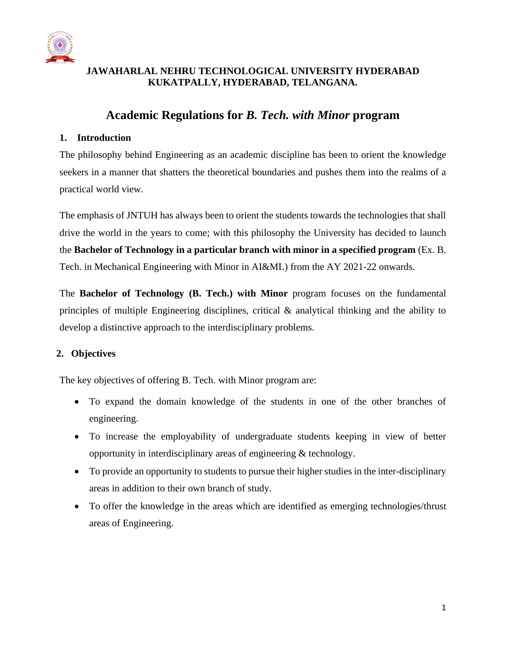

# **JAWAHARLAL NEHRU TECHNOLOGICAL UNIVERSITY HYDERABAD KUKATPALLY, HYDERABAD, TELANGANA.**

# **Academic Regulations for** *B. Tech. with Minor* **program**

## **1. Introduction**

The philosophy behind Engineering as an academic discipline has been to orient the knowledge seekers in a manner that shatters the theoretical boundaries and pushes them into the realms of a practical world view.

The emphasis of JNTUH has always been to orient the students towards the technologies that shall drive the world in the years to come; with this philosophy the University has decided to launch the **Bachelor of Technology in a particular branch with minor in a specified program** (Ex. B. Tech. in Mechanical Engineering with Minor in AI&ML) from the AY 2021-22 onwards.

The **Bachelor of Technology (B. Tech.) with Minor** program focuses on the fundamental principles of multiple Engineering disciplines, critical & analytical thinking and the ability to develop a distinctive approach to the interdisciplinary problems.

# **2. Objectives**

The key objectives of offering B. Tech. with Minor program are:

- To expand the domain knowledge of the students in one of the other branches of engineering.
- To increase the employability of undergraduate students keeping in view of better opportunity in interdisciplinary areas of engineering & technology.
- To provide an opportunity to students to pursue their higher studies in the inter-disciplinary areas in addition to their own branch of study.
- To offer the knowledge in the areas which are identified as emerging technologies/thrust areas of Engineering.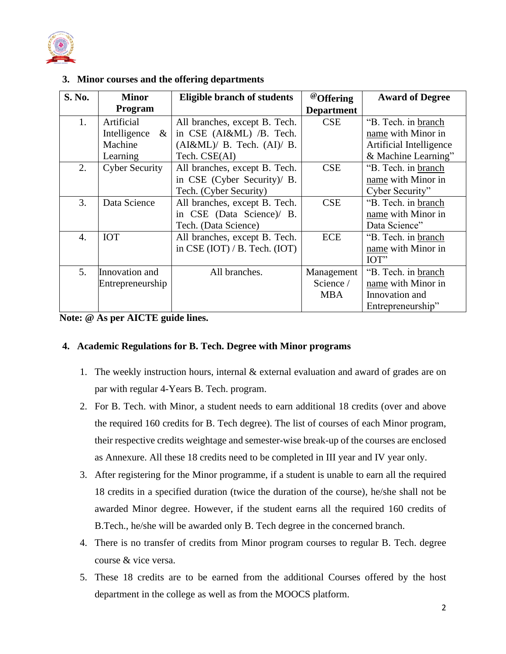

| S. No. | <b>Minor</b>             | <b>Eligible branch of students</b> | <sup>@</sup> Offering | <b>Award of Degree</b>  |
|--------|--------------------------|------------------------------------|-----------------------|-------------------------|
|        | Program                  |                                    | <b>Department</b>     |                         |
| 1.     | Artificial               | All branches, except B. Tech.      | <b>CSE</b>            | "B. Tech. in branch     |
|        | Intelligence<br>$\alpha$ | in CSE (AI&ML) /B. Tech.           |                       | name with Minor in      |
|        | Machine                  | $(AI\&ML)/B$ . Tech. $(AI)/B$ .    |                       | Artificial Intelligence |
|        | Learning                 | Tech. CSE(AI)                      |                       | & Machine Learning"     |
| 2.     | <b>Cyber Security</b>    | All branches, except B. Tech.      | <b>CSE</b>            | "B. Tech. in branch     |
|        |                          | in CSE (Cyber Security)/ B.        |                       | name with Minor in      |
|        |                          | Tech. (Cyber Security)             |                       | Cyber Security"         |
| 3.     | Data Science             | All branches, except B. Tech.      | <b>CSE</b>            | "B. Tech. in branch     |
|        |                          | in CSE (Data Science)/ B.          |                       | name with Minor in      |
|        |                          | Tech. (Data Science)               |                       | Data Science"           |
| 4.     | <b>IOT</b>               | All branches, except B. Tech.      | <b>ECE</b>            | "B. Tech. in branch     |
|        |                          | in CSE (IOT) $/$ B. Tech. (IOT)    |                       | name with Minor in      |
|        |                          |                                    |                       | IOT"                    |
| 5.     | Innovation and           | All branches.                      | Management            | "B. Tech. in branch     |
|        | Entrepreneurship         |                                    | Science /             | name with Minor in      |
|        |                          |                                    | <b>MBA</b>            | Innovation and          |
|        |                          |                                    |                       | Entrepreneurship"       |

**3. Minor courses and the offering departments**

**Note: @ As per AICTE guide lines.**

#### **4. Academic Regulations for B. Tech. Degree with Minor programs**

- 1. The weekly instruction hours, internal & external evaluation and award of grades are on par with regular 4-Years B. Tech. program.
- 2. For B. Tech. with Minor, a student needs to earn additional 18 credits (over and above the required 160 credits for B. Tech degree). The list of courses of each Minor program, their respective credits weightage and semester-wise break-up of the courses are enclosed as Annexure. All these 18 credits need to be completed in III year and IV year only.
- 3. After registering for the Minor programme, if a student is unable to earn all the required 18 credits in a specified duration (twice the duration of the course), he/she shall not be awarded Minor degree. However, if the student earns all the required 160 credits of B.Tech., he/she will be awarded only B. Tech degree in the concerned branch.
- 4. There is no transfer of credits from Minor program courses to regular B. Tech. degree course & vice versa.
- 5. These 18 credits are to be earned from the additional Courses offered by the host department in the college as well as from the MOOCS platform.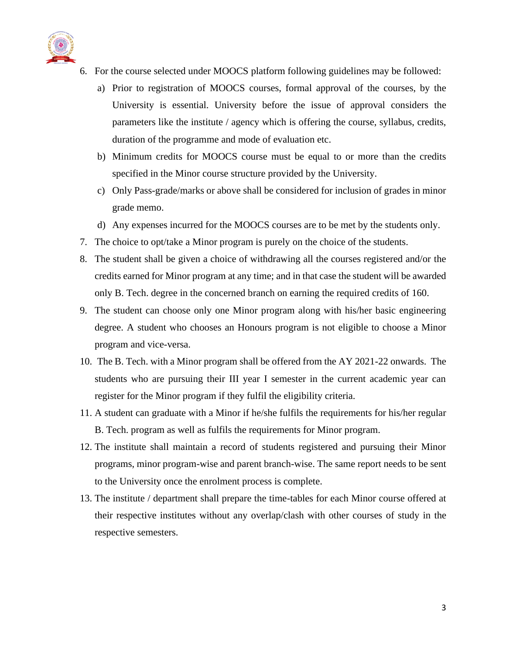

- 6. For the course selected under MOOCS platform following guidelines may be followed:
	- a) Prior to registration of MOOCS courses, formal approval of the courses, by the University is essential. University before the issue of approval considers the parameters like the institute / agency which is offering the course, syllabus, credits, duration of the programme and mode of evaluation etc.
	- b) Minimum credits for MOOCS course must be equal to or more than the credits specified in the Minor course structure provided by the University.
	- c) Only Pass-grade/marks or above shall be considered for inclusion of grades in minor grade memo.
	- d) Any expenses incurred for the MOOCS courses are to be met by the students only.
- 7. The choice to opt/take a Minor program is purely on the choice of the students.
- 8. The student shall be given a choice of withdrawing all the courses registered and/or the credits earned for Minor program at any time; and in that case the student will be awarded only B. Tech. degree in the concerned branch on earning the required credits of 160.
- 9. The student can choose only one Minor program along with his/her basic engineering degree. A student who chooses an Honours program is not eligible to choose a Minor program and vice-versa.
- 10. The B. Tech. with a Minor program shall be offered from the AY 2021-22 onwards. The students who are pursuing their III year I semester in the current academic year can register for the Minor program if they fulfil the eligibility criteria.
- 11. A student can graduate with a Minor if he/she fulfils the requirements for his/her regular B. Tech. program as well as fulfils the requirements for Minor program.
- 12. The institute shall maintain a record of students registered and pursuing their Minor programs, minor program-wise and parent branch-wise. The same report needs to be sent to the University once the enrolment process is complete.
- 13. The institute / department shall prepare the time-tables for each Minor course offered at their respective institutes without any overlap/clash with other courses of study in the respective semesters.